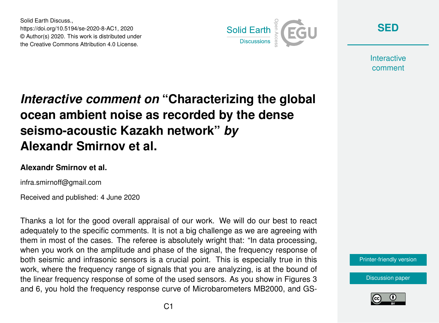Solid Earth Discuss., https://doi.org/10.5194/se-2020-8-AC1, 2020 © Author(s) 2020. This work is distributed under the Creative Commons Attribution 4.0 License.



**[SED](https://www.solid-earth-discuss.net/)**

**Interactive** comment

## *Interactive comment on* **"Characterizing the global ocean ambient noise as recorded by the dense seismo-acoustic Kazakh network"** *by* **Alexandr Smirnov et al.**

## **Alexandr Smirnov et al.**

infra.smirnoff@gmail.com

Received and published: 4 June 2020

Thanks a lot for the good overall appraisal of our work. We will do our best to react adequately to the specific comments. It is not a big challenge as we are agreeing with them in most of the cases. The referee is absolutely wright that: "In data processing, when you work on the amplitude and phase of the signal, the frequency response of both seismic and infrasonic sensors is a crucial point. This is especially true in this work, where the frequency range of signals that you are analyzing, is at the bound of the linear frequency response of some of the used sensors. As you show in Figures 3 and 6, you hold the frequency response curve of Microbarometers MB2000, and GS-



[Discussion paper](https://www.solid-earth-discuss.net/se-2020-8)